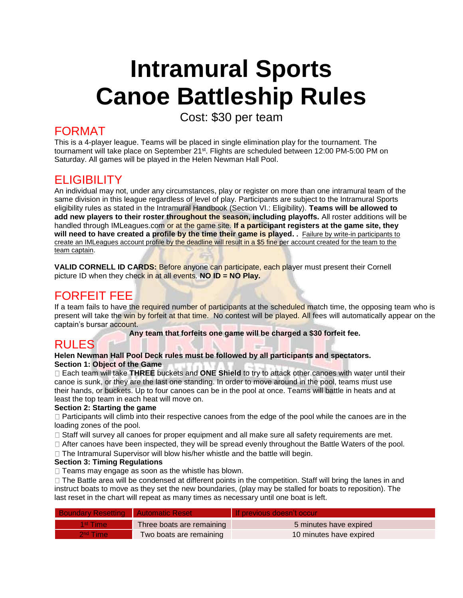# **Intramural Sports Canoe Battleship Rules**

Cost: \$30 per team

## FORMAT

This is a 4-player league. Teams will be placed in single elimination play for the tournament. The tournament will take place on September 21<sup>st</sup>. Flights are scheduled between 12:00 PM-5:00 PM on Saturday. All games will be played in the Helen Newman Hall Pool.

## **ELIGIBILITY**

An individual may not, under any circumstances, play or register on more than one intramural team of the same division in this league regardless of level of play. Participants are subject to the Intramural Sports eligibility rules as stated in the Intramural Handbook (Section VI.: Eligibility). **Teams will be allowed to add new players to their roster throughout the season, including playoffs.** All roster additions will be handled through IMLeagues.com or at the game site. **If a participant registers at the game site, they will need to have created a profile by the time their game is played. .** Failure by write-in participants to create an IMLeagues account profile by the deadline will result in a \$5 fine per account created for the team to the team captain.

**VALID CORNELL ID CARDS:** Before anyone can participate, each player must present their Cornell picture ID when they check in at all events. **NO ID = NO Play.** 

## FORFEIT FEE

If a team fails to have the required number of participants at the scheduled match time, the opposing team who is present will take the win by forfeit at that time. No contest will be played. All fees will automatically appear on the captain's bursar account.

**Any team that forfeits one game will be charged a \$30 forfeit fee.**

## RULES

**Helen Newman Hall Pool Deck rules must be followed by all participants and spectators. Section 1: Object of the Game** 

Each team will take **THREE** buckets and **ONE Shield** to try to attack other canoes with water until their canoe is sunk, or they are the last one standing. In order to move around in the pool, teams must use their hands, or buckets. Up to four canoes can be in the pool at once. Teams will battle in heats and at least the top team in each heat will move on.

#### **Section 2: Starting the game**

 $\Box$  Participants will climb into their respective canoes from the edge of the pool while the canoes are in the loading zones of the pool.

 $\Box$  Staff will survey all canoes for proper equipment and all make sure all safety requirements are met.

After canoes have been inspected, they will be spread evenly throughout the Battle Waters of the pool.

 $\Box$  The Intramural Supervisor will blow his/her whistle and the battle will begin.

#### **Section 3: Timing Regulations**

 $\Box$  Teams may engage as soon as the whistle has blown.

 $\Box$  The Battle area will be condensed at different points in the competition. Staff will bring the lanes in and instruct boats to move as they set the new boundaries, (play may be stalled for boats to reposition). The last reset in the chart will repeat as many times as necessary until one boat is left.

| <b>Boundary Resetting   Automatic Reset</b> |                           | <b>If previous doesn't occurl</b> |
|---------------------------------------------|---------------------------|-----------------------------------|
| 1 <sup>st</sup> Time                        | Three boats are remaining | 5 minutes have expired            |
| 2 <sup>nd</sup> Time                        | Two boats are remaining   | 10 minutes have expired           |